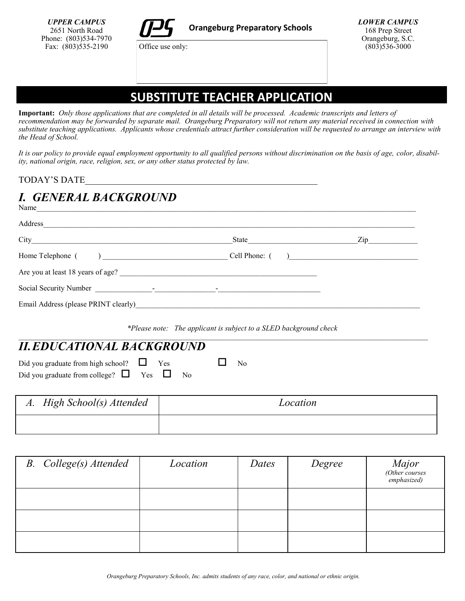Office use only:

*LOWER CAMPUS* 168 Prep Street Orangeburg, S.C.  $(803)$ 536-3000

## **SUBSTITUTE TEACHER APPLICATION**

**Important:** *Only those applications that are completed in all details will be processed. Academic transcripts and letters of recommendation may be forwarded by separate mail. Orangeburg Preparatory will not return any material received in connection with substitute teaching applications. Applicants whose credentials attract further consideration will be requested to arrange an interview with the Head of School.*

*It is our policy to provide equal employment opportunity to all qualified persons without discrimination on the basis of age, color, disability, national origin, race, religion, sex, or any other status protected by law.*

TODAY'S DATE\_\_\_\_\_\_\_\_\_\_\_\_\_\_\_\_\_\_\_\_\_\_\_\_\_\_\_\_\_\_\_\_\_\_\_\_\_\_\_\_\_\_\_\_\_\_\_\_\_\_\_

### *I. GENERAL BACKGROUND* Name

| Address                                       |                 |                                                                                                                                                                                                                                |
|-----------------------------------------------|-----------------|--------------------------------------------------------------------------------------------------------------------------------------------------------------------------------------------------------------------------------|
|                                               |                 | Zip and the same of the same of the same of the same of the same of the same of the same of the same of the same of the same of the same of the same of the same of the same of the same of the same of the same of the same o |
|                                               | Cell Phone: ( ) |                                                                                                                                                                                                                                |
| Are you at least 18 years of age?<br><u> </u> |                 |                                                                                                                                                                                                                                |
|                                               |                 |                                                                                                                                                                                                                                |
| Email Address (please PRINT clearly)          |                 |                                                                                                                                                                                                                                |

*\*Please note: The applicant is subject to a SLED background check*

### $\mathcal{L}_\text{max} = \frac{1}{2} \sum_{i=1}^n \mathcal{L}_\text{max} = \frac{1}{2} \sum_{i=1}^n \mathcal{L}_\text{max} = \frac{1}{2} \sum_{i=1}^n \mathcal{L}_\text{max} = \frac{1}{2} \sum_{i=1}^n \mathcal{L}_\text{max} = \frac{1}{2} \sum_{i=1}^n \mathcal{L}_\text{max} = \frac{1}{2} \sum_{i=1}^n \mathcal{L}_\text{max} = \frac{1}{2} \sum_{i=1}^n \mathcal{L}_\text{max} = \frac{1}{2} \sum_{i=$ *II.EDUCATIONAL BACKGROUND*

| Did you graduate from high school? $\Box$ Yes       |  | $\Box$ No |  |
|-----------------------------------------------------|--|-----------|--|
| Did you graduate from college? $\Box$ Yes $\Box$ No |  |           |  |

| A. High School(s) Attended | Location |
|----------------------------|----------|
|                            |          |

| <b>B.</b> College(s) Attended | Location | Dates | Degree | Major<br>(Other courses<br>emphasized) |
|-------------------------------|----------|-------|--------|----------------------------------------|
|                               |          |       |        |                                        |
|                               |          |       |        |                                        |
|                               |          |       |        |                                        |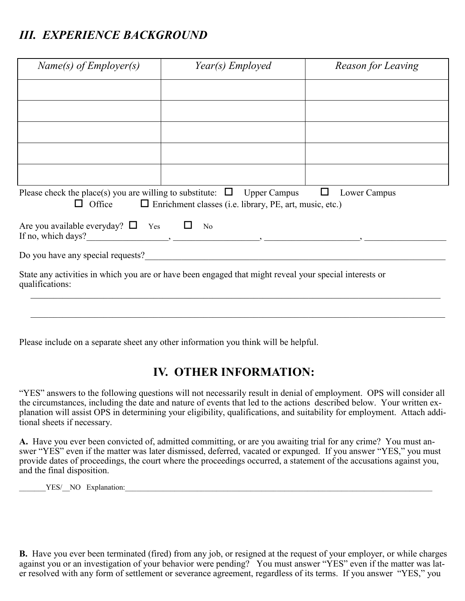# *III. EXPERIENCE BACKGROUND*

| $Name(s)$ of Employer(s)                                                                                                  | Year(s) Employed                                               | Reason for Leaving |  |  |
|---------------------------------------------------------------------------------------------------------------------------|----------------------------------------------------------------|--------------------|--|--|
|                                                                                                                           |                                                                |                    |  |  |
|                                                                                                                           |                                                                |                    |  |  |
|                                                                                                                           |                                                                |                    |  |  |
|                                                                                                                           |                                                                |                    |  |  |
|                                                                                                                           |                                                                |                    |  |  |
|                                                                                                                           |                                                                |                    |  |  |
| Please check the place(s) you are willing to substitute: $\Box$ Upper Campus $\Box$<br>$\Box$ Office                      | $\Box$ Enrichment classes (i.e. library, PE, art, music, etc.) | Lower Campus       |  |  |
| Are you available everyday? $\square$ Yes $\square$ No                                                                    |                                                                |                    |  |  |
| Do you have any special requests?                                                                                         |                                                                |                    |  |  |
| State any activities in which you are or have been engaged that might reveal your special interests or<br>qualifications: |                                                                |                    |  |  |
|                                                                                                                           |                                                                |                    |  |  |
|                                                                                                                           |                                                                |                    |  |  |

Please include on a separate sheet any other information you think will be helpful.

# **IV. OTHER INFORMATION:**

"YES" answers to the following questions will not necessarily result in denial of employment. OPS will consider all the circumstances, including the date and nature of events that led to the actions described below. Your written explanation will assist OPS in determining your eligibility, qualifications, and suitability for employment. Attach additional sheets if necessary.

**A.** Have you ever been convicted of, admitted committing, or are you awaiting trial for any crime? You must answer "YES" even if the matter was later dismissed, deferred, vacated or expunged. If you answer "YES," you must provide dates of proceedings, the court where the proceedings occurred, a statement of the accusations against you, and the final disposition.

YES/ NO Explanation:

**B.** Have you ever been terminated (fired) from any job, or resigned at the request of your employer, or while charges against you or an investigation of your behavior were pending? You must answer "YES" even if the matter was later resolved with any form of settlement or severance agreement, regardless of its terms. If you answer "YES," you